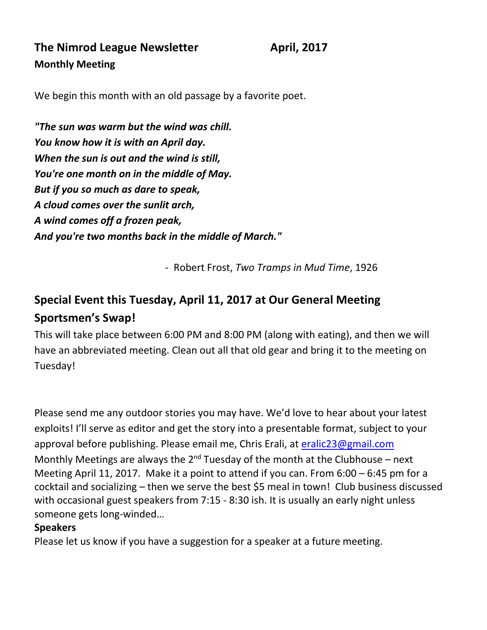**The Nimrod League Newsletter April, 2017 Monthly Meeting** 

We begin this month with an old passage by a favorite poet.

*"The sun was warm but the wind was chill. You know how it is with an April day. When the sun is out and the wind is still, You're one month on in the middle of May. But if you so much as dare to speak, A cloud comes over the sunlit arch, A wind comes off a frozen peak, And you're two months back in the middle of March."*

- Robert Frost, *Two Tramps in Mud Time*, 1926

# **Special Event this Tuesday, April 11, 2017 at Our General Meeting Sportsmen's Swap!**

This will take place between 6:00 PM and 8:00 PM (along with eating), and then we will have an abbreviated meeting. Clean out all that old gear and bring it to the meeting on Tuesday!

Please send me any outdoor stories you may have. We'd love to hear about your latest exploits! I'll serve as editor and get the story into a presentable format, subject to your approval before publishing. Please email me, Chris Erali, at [eralic23@gmail.com](mailto:eralic23@gmail.com) Monthly Meetings are always the  $2^{nd}$  Tuesday of the month at the Clubhouse – next Meeting April 11, 2017. Make it a point to attend if you can. From 6:00 – 6:45 pm for a cocktail and socializing – then we serve the best \$5 meal in town! Club business discussed with occasional guest speakers from 7:15 - 8:30 ish. It is usually an early night unless someone gets long-winded…

#### **Speakers**

Please let us know if you have a suggestion for a speaker at a future meeting.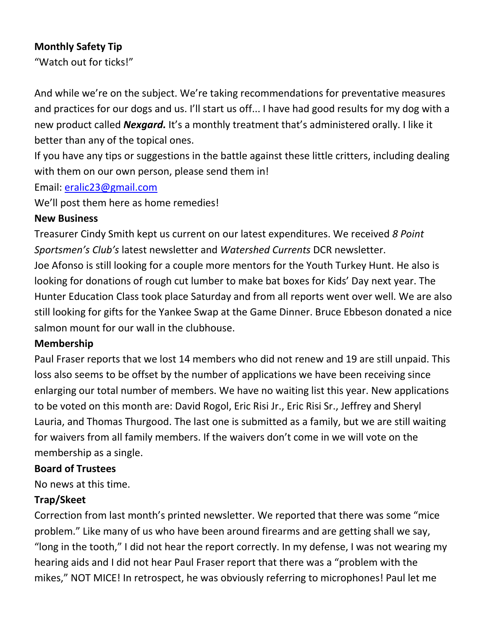### **Monthly Safety Tip**

"Watch out for ticks!"

And while we're on the subject. We're taking recommendations for preventative measures and practices for our dogs and us. I'll start us off... I have had good results for my dog with a new product called *Nexgard.* It's a monthly treatment that's administered orally. I like it better than any of the topical ones.

If you have any tips or suggestions in the battle against these little critters, including dealing with them on our own person, please send them in!

#### Email: [eralic23@gmail.com](mailto:eralic23@gmail.com)

We'll post them here as home remedies!

#### **New Business**

Treasurer Cindy Smith kept us current on our latest expenditures. We received *8 Point Sportsmen's Club's* latest newsletter and *Watershed Currents* DCR newsletter. Joe Afonso is still looking for a couple more mentors for the Youth Turkey Hunt. He also is looking for donations of rough cut lumber to make bat boxes for Kids' Day next year. The Hunter Education Class took place Saturday and from all reports went over well. We are also still looking for gifts for the Yankee Swap at the Game Dinner. Bruce Ebbeson donated a nice salmon mount for our wall in the clubhouse.

#### **Membership**

Paul Fraser reports that we lost 14 members who did not renew and 19 are still unpaid. This loss also seems to be offset by the number of applications we have been receiving since enlarging our total number of members. We have no waiting list this year. New applications to be voted on this month are: David Rogol, Eric Risi Jr., Eric Risi Sr., Jeffrey and Sheryl Lauria, and Thomas Thurgood. The last one is submitted as a family, but we are still waiting for waivers from all family members. If the waivers don't come in we will vote on the membership as a single.

### **Board of Trustees**

No news at this time.

# **Trap/Skeet**

Correction from last month's printed newsletter. We reported that there was some "mice problem." Like many of us who have been around firearms and are getting shall we say, "long in the tooth," I did not hear the report correctly. In my defense, I was not wearing my hearing aids and I did not hear Paul Fraser report that there was a "problem with the mikes," NOT MICE! In retrospect, he was obviously referring to microphones! Paul let me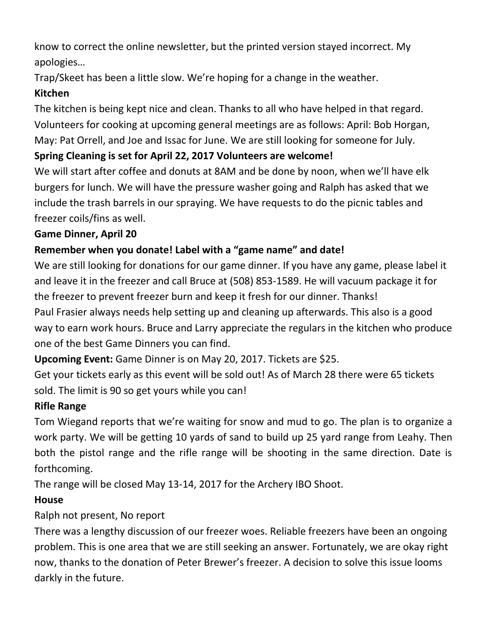know to correct the online newsletter, but the printed version stayed incorrect. My apologies…

Trap/Skeet has been a little slow. We're hoping for a change in the weather.

# **Kitchen**

The kitchen is being kept nice and clean. Thanks to all who have helped in that regard. Volunteers for cooking at upcoming general meetings are as follows: April: Bob Horgan, May: Pat Orrell, and Joe and Issac for June. We are still looking for someone for July.

# **Spring Cleaning is set for April 22, 2017 Volunteers are welcome!**

We will start after coffee and donuts at 8AM and be done by noon, when we'll have elk burgers for lunch. We will have the pressure washer going and Ralph has asked that we include the trash barrels in our spraying. We have requests to do the picnic tables and freezer coils/fins as well.

# **Game Dinner, April 20**

# **Remember when you donate! Label with a "game name" and date!**

We are still looking for donations for our game dinner. If you have any game, please label it and leave it in the freezer and call Bruce at (508) 853-1589. He will vacuum package it for the freezer to prevent freezer burn and keep it fresh for our dinner. Thanks! Paul Frasier always needs help setting up and cleaning up afterwards. This also is a good way to earn work hours. Bruce and Larry appreciate the regulars in the kitchen who produce one of the best Game Dinners you can find.

**Upcoming Event:** Game Dinner is on May 20, 2017. Tickets are \$25.

Get your tickets early as this event will be sold out! As of March 28 there were 65 tickets sold. The limit is 90 so get yours while you can!

# **Rifle Range**

Tom Wiegand reports that we're waiting for snow and mud to go. The plan is to organize a work party. We will be getting 10 yards of sand to build up 25 yard range from Leahy. Then both the pistol range and the rifle range will be shooting in the same direction. Date is forthcoming.

The range will be closed May 13-14, 2017 for the Archery IBO Shoot.

# **House**

# Ralph not present, No report

There was a lengthy discussion of our freezer woes. Reliable freezers have been an ongoing problem. This is one area that we are still seeking an answer. Fortunately, we are okay right now, thanks to the donation of Peter Brewer's freezer. A decision to solve this issue looms darkly in the future.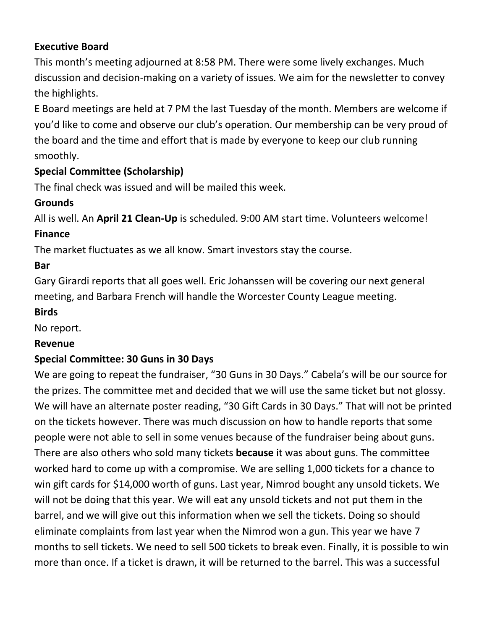### **Executive Board**

This month's meeting adjourned at 8:58 PM. There were some lively exchanges. Much discussion and decision-making on a variety of issues. We aim for the newsletter to convey the highlights.

E Board meetings are held at 7 PM the last Tuesday of the month. Members are welcome if you'd like to come and observe our club's operation. Our membership can be very proud of the board and the time and effort that is made by everyone to keep our club running smoothly.

# **Special Committee (Scholarship)**

The final check was issued and will be mailed this week.

# **Grounds**

All is well. An **April 21 Clean-Up** is scheduled. 9:00 AM start time. Volunteers welcome!

### **Finance**

The market fluctuates as we all know. Smart investors stay the course.

### **Bar**

Gary Girardi reports that all goes well. Eric Johanssen will be covering our next general meeting, and Barbara French will handle the Worcester County League meeting.

#### **Birds**

No report.

### **Revenue**

### **Special Committee: 30 Guns in 30 Days**

We are going to repeat the fundraiser, "30 Guns in 30 Days." Cabela's will be our source for the prizes. The committee met and decided that we will use the same ticket but not glossy. We will have an alternate poster reading, "30 Gift Cards in 30 Days." That will not be printed on the tickets however. There was much discussion on how to handle reports that some people were not able to sell in some venues because of the fundraiser being about guns. There are also others who sold many tickets **because** it was about guns. The committee worked hard to come up with a compromise. We are selling 1,000 tickets for a chance to win gift cards for \$14,000 worth of guns. Last year, Nimrod bought any unsold tickets. We will not be doing that this year. We will eat any unsold tickets and not put them in the barrel, and we will give out this information when we sell the tickets. Doing so should eliminate complaints from last year when the Nimrod won a gun. This year we have 7 months to sell tickets. We need to sell 500 tickets to break even. Finally, it is possible to win more than once. If a ticket is drawn, it will be returned to the barrel. This was a successful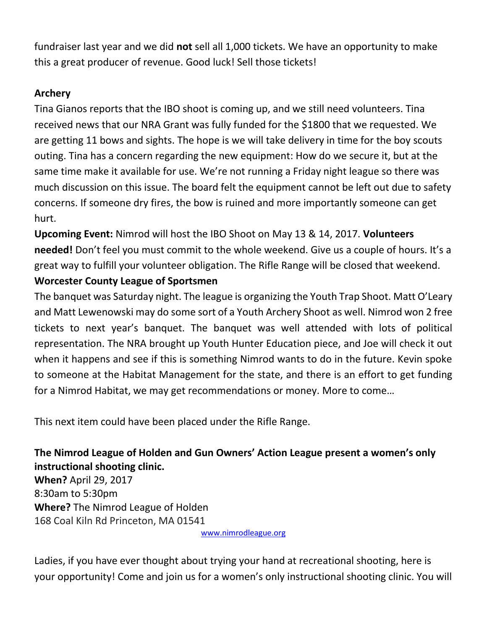fundraiser last year and we did **not** sell all 1,000 tickets. We have an opportunity to make this a great producer of revenue. Good luck! Sell those tickets!

# **Archery**

Tina Gianos reports that the IBO shoot is coming up, and we still need volunteers. Tina received news that our NRA Grant was fully funded for the \$1800 that we requested. We are getting 11 bows and sights. The hope is we will take delivery in time for the boy scouts outing. Tina has a concern regarding the new equipment: How do we secure it, but at the same time make it available for use. We're not running a Friday night league so there was much discussion on this issue. The board felt the equipment cannot be left out due to safety concerns. If someone dry fires, the bow is ruined and more importantly someone can get hurt.

**Upcoming Event:** Nimrod will host the IBO Shoot on May 13 & 14, 2017. **Volunteers needed!** Don't feel you must commit to the whole weekend. Give us a couple of hours. It's a great way to fulfill your volunteer obligation. The Rifle Range will be closed that weekend.

### **Worcester County League of Sportsmen**

The banquet was Saturday night. The league is organizing the Youth Trap Shoot. Matt O'Leary and Matt Lewenowski may do some sort of a Youth Archery Shoot as well. Nimrod won 2 free tickets to next year's banquet. The banquet was well attended with lots of political representation. The NRA brought up Youth Hunter Education piece, and Joe will check it out when it happens and see if this is something Nimrod wants to do in the future. Kevin spoke to someone at the Habitat Management for the state, and there is an effort to get funding for a Nimrod Habitat, we may get recommendations or money. More to come…

This next item could have been placed under the Rifle Range.

# **The Nimrod League of Holden and Gun Owners' Action League present a women's only instructional shooting clinic.**

**When?** April 29, 2017 8:30am to 5:30pm **Where?** The Nimrod League of Holden 168 Coal Kiln Rd Princeton, MA 01541

[www.nimrodleague.org](http://www.nimrodleague.org/)

Ladies, if you have ever thought about trying your hand at recreational shooting, here is your opportunity! Come and join us for a women's only instructional shooting clinic. You will